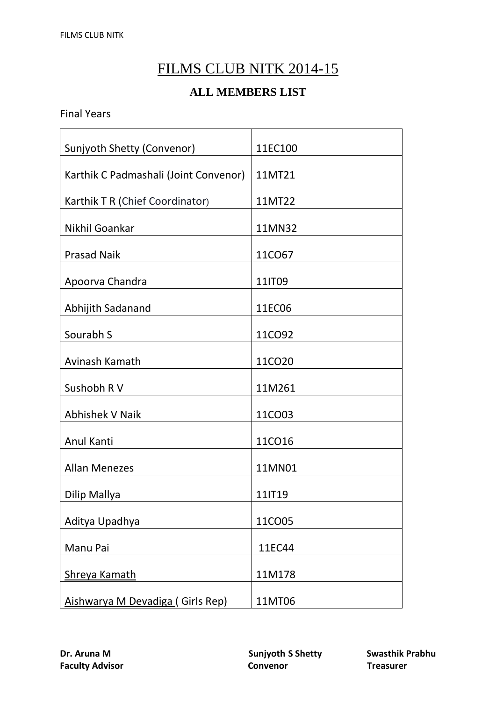## FILMS CLUB NITK 2014-15

## **ALL MEMBERS LIST**

Final Years

| Sunjyoth Shetty (Convenor)            | 11EC100 |
|---------------------------------------|---------|
| Karthik C Padmashali (Joint Convenor) | 11MT21  |
| Karthik T R (Chief Coordinator)       | 11MT22  |
| Nikhil Goankar                        | 11MN32  |
| <b>Prasad Naik</b>                    | 11CO67  |
| Apoorva Chandra                       | 11IT09  |
| Abhijith Sadanand                     | 11EC06  |
| Sourabh S                             | 11CO92  |
| Avinash Kamath                        | 11CO20  |
| Sushobh R V                           | 11M261  |
| <b>Abhishek V Naik</b>                | 11CO03  |
| Anul Kanti                            | 11CO16  |
| <b>Allan Menezes</b>                  | 11MN01  |
| Dilip Mallya                          | 11IT19  |
| Aditya Upadhya                        | 11CO05  |
| Manu Pai                              | 11EC44  |
| Shreya Kamath                         | 11M178  |
| Aishwarya M Devadiga (Girls Rep)      | 11MT06  |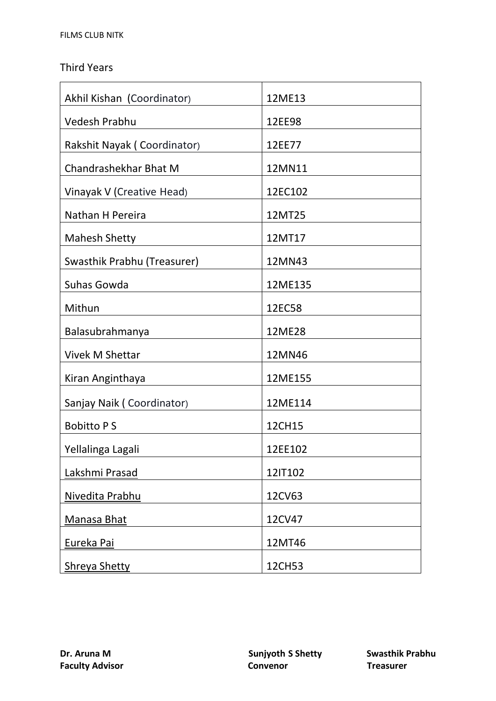## Third Years

| Akhil Kishan (Coordinator)  | 12ME13  |
|-----------------------------|---------|
| <b>Vedesh Prabhu</b>        | 12EE98  |
| Rakshit Nayak (Coordinator) | 12EE77  |
| Chandrashekhar Bhat M       | 12MN11  |
| Vinayak V (Creative Head)   | 12EC102 |
| Nathan H Pereira            | 12MT25  |
| <b>Mahesh Shetty</b>        | 12MT17  |
| Swasthik Prabhu (Treasurer) | 12MN43  |
| Suhas Gowda                 | 12ME135 |
| Mithun                      | 12EC58  |
| Balasubrahmanya             | 12ME28  |
| <b>Vivek M Shettar</b>      | 12MN46  |
| Kiran Anginthaya            | 12ME155 |
| Sanjay Naik (Coordinator)   | 12ME114 |
| <b>Bobitto PS</b>           | 12CH15  |
| Yellalinga Lagali           | 12EE102 |
| Lakshmi Prasad              | 12IT102 |
| Nivedita Prabhu             | 12CV63  |
| Manasa Bhat                 | 12CV47  |
| Eureka Pai                  | 12MT46  |
| <b>Shreya Shetty</b>        | 12CH53  |